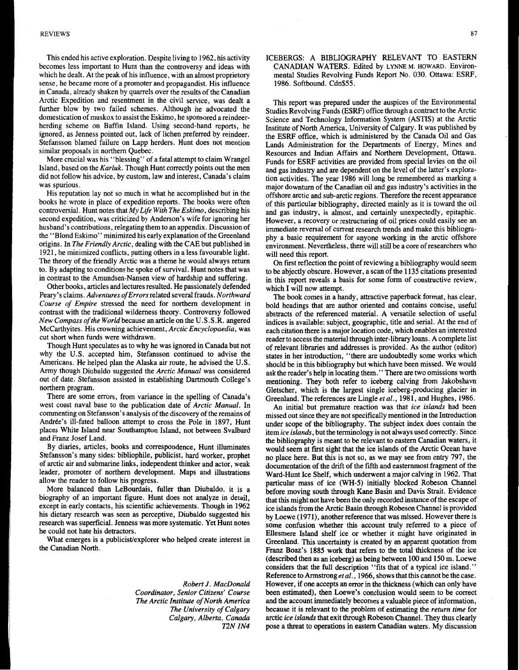This ended his active exploration. Despite living to **1962,** his activity becomes less important to Hunt than the controversy and ideas with which he dealt. At the peak of his influence, with an almost proprietory sense, he became more of a promoter and propagandist. His influence in Canada, already shaken by quarrels over the results of the Canadian Arctic Expedition and resentment in the civil service, was dealt a further blow by two failed schemes. Although he advocated the domestication of muskox to assist the Eskimo, he sponsored a reindeerherding scheme on Baffin Island. Using second-hand reports, he ignored, as Jenness pointed out, lack of lichen preferred by reindeer. Stefansson blamed failure on Lapp herders. Hunt does not mention similar proposals in northern Quebec.

More crucial was his "blessing" of a fatal attempt to claim Wrangel Island, based on the *Kurluk.* Though Hunt correctly points out the men did not follow his advice, by custom, law and interest, Canada's claim was spurious.

His reputation lay not *so* much in what he accomplished but in the books he wrote in place of expedition reports. The books were often controversial. Hunt notes that *My Life With The Eskimo,* describing his second expedition, was criticized by Anderson's wife for ignoring her husband's contributions, relegating them to an appendix. Discussion of the "Blond Eskimo" minimized his early explanation of the Greenland origins. In *The Friendly Arctic,* dealing with the CAE but published in **1921,** he minimized conflicts, putting others in a less favourable light. The theory of the friendly Arctic was a theme he would always return to. By adapting to conditions he spoke of survival. Hunt notes that was in contrast to the Amundsen-Nansen view of hardship and suffering.

Other books, articles and lectures resulted. He passionately defended Peary's claims. *Adventures ofErrors* related several frauds. *Northward Course of Empire* stressed the need for northern development in contrast with the traditional wilderness theory. Controversy followed *New Compass of the World* because an article on the U. *S .S* .R. angered McCarthyites. His crowning achievement, *Arctic Encyclopaedia,* was cut short when funds were withdrawn.

Though Hunt speculates as to why he was ignored in Canada but not why the U.S. accepted him, Stefansson continued to advise the Americans. He helped plan the Alaska air route, he advised the **U.S.**  Army though Diubaldo suggested the *Arctic Manual* was considered out of date. Stefansson assisted in establishing Dartmouth College's northern program.

There are some errors, from variance in the spelling of Canada's west coast naval base to the publication date of *Arctic Manual.* In commenting on Stefansson's analysis of the discovery of the remains of Andrée's ill-fated balloon attempt to cross the Pole in 1897, Hunt places White Island near Southampton Island, not between Svalbard and Franz Josef Land.

By diaries, articles, books and correspondence, Hunt illuminates Stefansson's many sides: bibliophile, publicist, hard worker, prophet of arctic air and submarine links, independent thinker and actor, weak leader, promoter of northern development. Maps and illustrations allow the reader to follow his progress.

More balanced than LeBourdais, fuller than Diubaldo, it is a biography of an important figure. Hunt does not analyze in detail, except in early contacts, his scientific achievements. Though in **1962**  his dietary research was seen as perceptive, Diubaldo suggested **his**  research was superficial. Jenness was more systematic. Yet Hunt notes he could not hate his detractors.

What emerges is a publicisVexplorer who helped create interest in the Canadian North.

> *Robert J. MacDonald Coordinator, Senior Citizens' Course The Arctic Institute of North America The University of Calgary Calgary, Alberta, Canada 12N IN4*

ICEBERGS: A BIBLIOGRAPHY RELEVANT TO EASTERN CANADIAN WATERS. Edited by **LYNNE M. HOWARD.** Environmental Studies Revolving Funds Report No. 030. Ottawa: ESRF, **1986.** Softbound. Cdn\$55.

This report was prepared under the auspices of the Environmental Studies Revolving Funds (ESRF) office through a contract to the Arctic Science and Technology Information System (ASTIS) at the Arctic Institute of North America, University of Calgary. It was published by the ESRF office, which **is** administered by the Canada Oil and Gas Lands Administration for the Departments of Energy, Mines and Resources and Indian Affairs and Northern Development, Ottawa. Funds for ESRF activities are provided from special levies on the oil and gas industry and **are** dependent on the level of the latter's exploration activities. The year **1986** will long be remembered as marking a major downturn of the Canadian oil and gas industry's activities in the offshore arctic and sub-arctic regions. Therefore the recent appearance of this particular bibliography, directed mainly as it is toward the oil and gas industry, is almost, and certainly unexpectedly, epitaphic. However, a recovery or restructuring of oil prices could easily see an immediate reversal of current research trends and make this bibliography a basic requirement for anyone working in the arctic offshore environment. Nevertheless, there will still be a core of researchers who will need this report.

On first reflection the point of reviewing a bibliography would seem to be abjectly obscure. However, a scan of the 1135 citations presented in this report reveals a basis for some form of constructive review, which I will now attempt.

The book comes in a handy, attractive paperback format, has clear, bold headings that are author oriented and contains concise, useful abstracts of the referenced material. **A** versatile selection of useful indices is available: subject, geographic, title and serial. At the end of each citation there is a major location code, which enables an interested reader to access the material through inter-library loans. A complete list of relevant libraries and addresses is provided. As the author (editor) states in her introduction, "there are undoubtedly some works which should be in this bibliography but which have been missed. We would ask the reader's help in locating them." There are two omissions worth mentioning. They both refer to iceberg calving from Jakobshavn Gletscher, which is the largest single iceberg-producing glacier in Greenland. The references **are** Lingle *et al.,* **1981,** and Hughes, **1986.** 

An initial but premature reaction was that *ice islands* had been missed out since they are not specifically mentioned in the Introduction under scope of the bibliography. The subject index does contain the item *ice islands,* but the terminology is not always used correctly. Since the bibliography is meant to be relevant to eastern Canadian waters, it would seem at first sight that the ice islands of the Arctic Ocean have no place here. But this is not *so,* as we may see from entry **797,** the documentation of the drift of the fifth and easternmost fragment of the Ward-Hunt Ice Shelf, which underwent a major calving in **1962.** That particular mass of ice *(WH-5)* initially blocked Robeson Channel before moving south through Kane Basin and Davis Strait. Evidence that this might not have been the only recorded instance of the escape of ice islands from the Arctic Basin through Robeson Channel is provided by Loewe **(1971),** another reference that was missed. However there is some confusion whether this account truly referred to a piece of Ellesmere Island shelf ice or whether it might have originated in Greenland. **This** uncertainty is created by an apparent quotation from Franz Boaz's **1885** work that refers to the total thickness of the ice (described then as an iceberg) as being between **100** and **150** m. Loewe considers that the full description "fits that of a typical ice island." Reference to Armstrong *et al.,* **1966,** shows that this cannot be the case. However, if one accepts an error in the thickness (which can only have been estimated), then Loewe's conclusion would seem to be correct and the account immediately becomes a valuable piece of information, because it is relevant to the problem of estimating the *return time* for arctic *ice islands* that exit through Robeson Channel. They thus clearly pose a threat to operations in eastern Canadian waters. My discussion